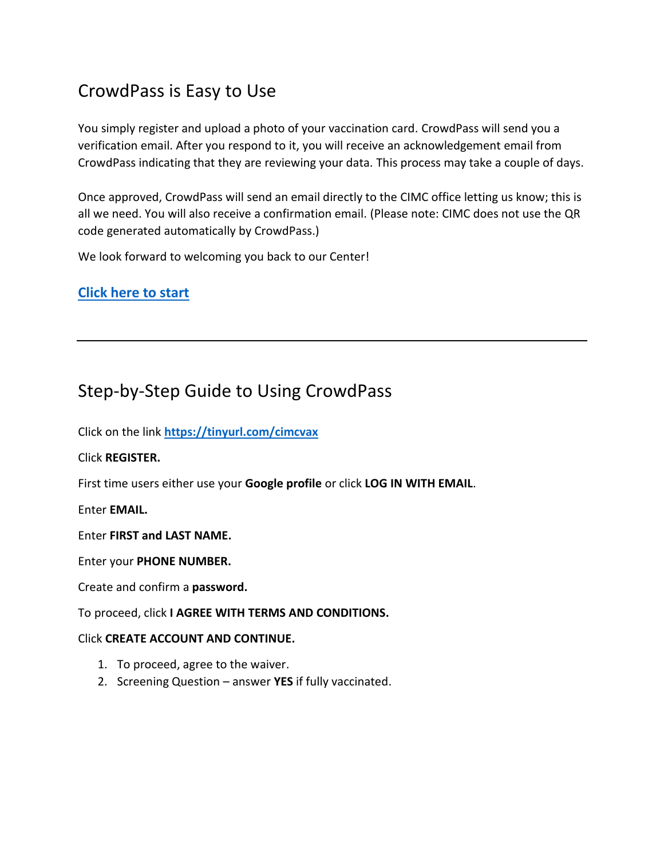# CrowdPass is Easy to Use

You simply register and upload a photo of your vaccination card. CrowdPass will send you a verification email. After you respond to it, you will receive an acknowledgement email from CrowdPass indicating that they are reviewing your data. This process may take a couple of days.

Once approved, CrowdPass will send an email directly to the CIMC office letting us know; this is all we need. You will also receive a confirmation email. (Please note: CIMC does not use the QR code generated automatically by CrowdPass.)

We look forward to welcoming you back to our Center!

### **[Click here to start](https://tinyurl.com/cimcvax)**

## Step-by-Step Guide to Using CrowdPass

Click on the link **<https://tinyurl.com/cimcvax>**

Click **REGISTER.**

First time users either use your **Google profile** or click **LOG IN WITH EMAIL**.

Enter **EMAIL.**

Enter **FIRST and LAST NAME.**

Enter your **PHONE NUMBER.**

Create and confirm a **password.**

To proceed, click **I AGREE WITH TERMS AND CONDITIONS.**

#### Click **CREATE ACCOUNT AND CONTINUE.**

- 1. To proceed, agree to the waiver.
- 2. Screening Question answer **YES** if fully vaccinated.